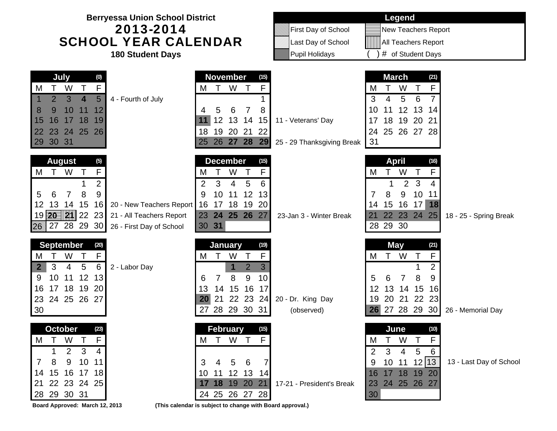| <b>Berryessa Union School District</b><br>2013-2014<br><b>SCHOOL YEAR CALENDAR</b><br><b>180 Student Days</b>                                                                                                                                                 |                                                                                                                                                                                        | First Day of School<br>Last Day of School<br>Pupil Holidays | <b>Legend</b><br><b>New Teachers Report</b><br>    All Teachers Report<br># of Student Days                                                                                                           |
|---------------------------------------------------------------------------------------------------------------------------------------------------------------------------------------------------------------------------------------------------------------|----------------------------------------------------------------------------------------------------------------------------------------------------------------------------------------|-------------------------------------------------------------|-------------------------------------------------------------------------------------------------------------------------------------------------------------------------------------------------------|
| July<br>(0)<br>F<br>W<br>$\top$<br>M<br>$5\overline{)}$<br>$\overline{2}$<br>3 <sup>1</sup><br>4 - Fourth of July<br>4<br>10 <sup>°</sup><br>8<br>9<br>12<br>11<br>15<br>16<br>17 18<br>19<br>24 25 26<br>22<br>23<br>29 30 31                                | <b>November</b><br>(15)<br>W<br>F<br>$\top$<br>$\top$<br>M<br>5<br>6<br>8<br>4<br>7<br>12 13 14<br>15<br>11<br>19 20 21<br>22<br>18<br>26 27 28 29<br>25                               | 11 - Veterans' Day<br>25 - 29 Thanksgiving Break            | <b>March</b><br>(21)<br>$\mathsf{F}$<br>$\mathsf T$<br>W<br>M<br>3<br>5<br>6<br>4<br>12<br>13<br>10<br>11<br>14<br>20<br>18<br>19<br>21<br>17<br>25 26 27 28<br>24<br>31                              |
| <b>August</b><br>(5)<br>F<br>W<br>$\top$<br>М<br>$\overline{2}$<br>9<br>8<br>5<br>6<br>7<br>12<br>15<br>16<br>13<br>14<br>20 - New Teachers Report<br>19 <b>20   21  </b> 22 23<br>21 - All Teachers Report<br>27 28 29 30<br>26.<br>26 - First Day of School | <b>December</b><br>(15)<br>F<br>W<br>Τ<br>M<br>3<br>5<br>6<br>2<br>4<br>10<br>12<br>13<br>9<br>11<br>17 18 19<br>16<br>20<br>24 25 26 27<br>23<br>30 31                                | 23-Jan 3 - Winter Break                                     | <b>April</b><br>(16)<br>F<br>W<br>M<br>Τ<br>2 <sub>3</sub><br>4<br>8<br>9<br>10<br>7<br>11<br>15 16 17<br>18<br>14<br>22 23 24 25<br>21<br>18 - 25 - Spring Break<br>28 29 30                         |
| <b>September</b><br>(20)<br>F<br>W<br>$\top$<br>M<br>6<br>$5\phantom{1}$<br>3<br>2 - Labor Day<br>$\mathbf{2}$<br>$\overline{4}$<br>12<br>10<br>13<br>9<br>11<br>18 19<br>20<br>17<br>16<br>24 25 26 27<br>23<br>30                                           | January<br>(19)<br>F<br>$\top$<br>W<br>$\top$<br>M<br>3<br>$\overline{2}$<br>1<br>9<br>10<br>7<br>8<br>6<br>15<br>16<br>17<br>14<br>13<br>22 23<br>20<br>21<br>24<br>28 29 30 31<br>27 | 20 - Dr. King Day<br>(observed)                             | <b>May</b><br>(21)<br>F<br>T W<br>$\top$<br>M<br>$\overline{2}$<br>8<br>9<br>5<br>$\overline{7}$<br>6<br>13 14<br>15<br>12<br>16<br>22<br>20<br>21<br>19<br>23<br>26 27 28 29 30<br>26 - Memorial Day |
| <b>October</b><br>(23)<br>W T<br>F<br>M T<br>$\mathbf{3}$<br>$\overline{2}$<br>4<br>1<br>9<br>10 <sup>°</sup><br>8<br>11<br>7<br>16 17 18<br>15<br>14<br>22 23 24 25<br>21<br>28 29 30 31                                                                     | <b>February</b><br>(15)<br>M T W T<br>F.<br>7<br>3<br>5<br>6<br>4<br>11 12 13 14<br>10<br>17 18 19 20 21<br>24 25 26 27 28                                                             | 17-21 - President's Break                                   | June<br>(10)<br>T W<br>$\mathsf{T}$<br>F<br>M<br>$\overline{4}$<br>$5\phantom{.0}$<br>3<br>2<br>6<br>10 11 12 13<br>13 - Last Day of School<br>9<br>17 18 19 20<br>16<br>24 25 26 27<br>23<br>30      |

**Board Approved: March 12, 2013 (This calendar is subject to change with Board approval.)**